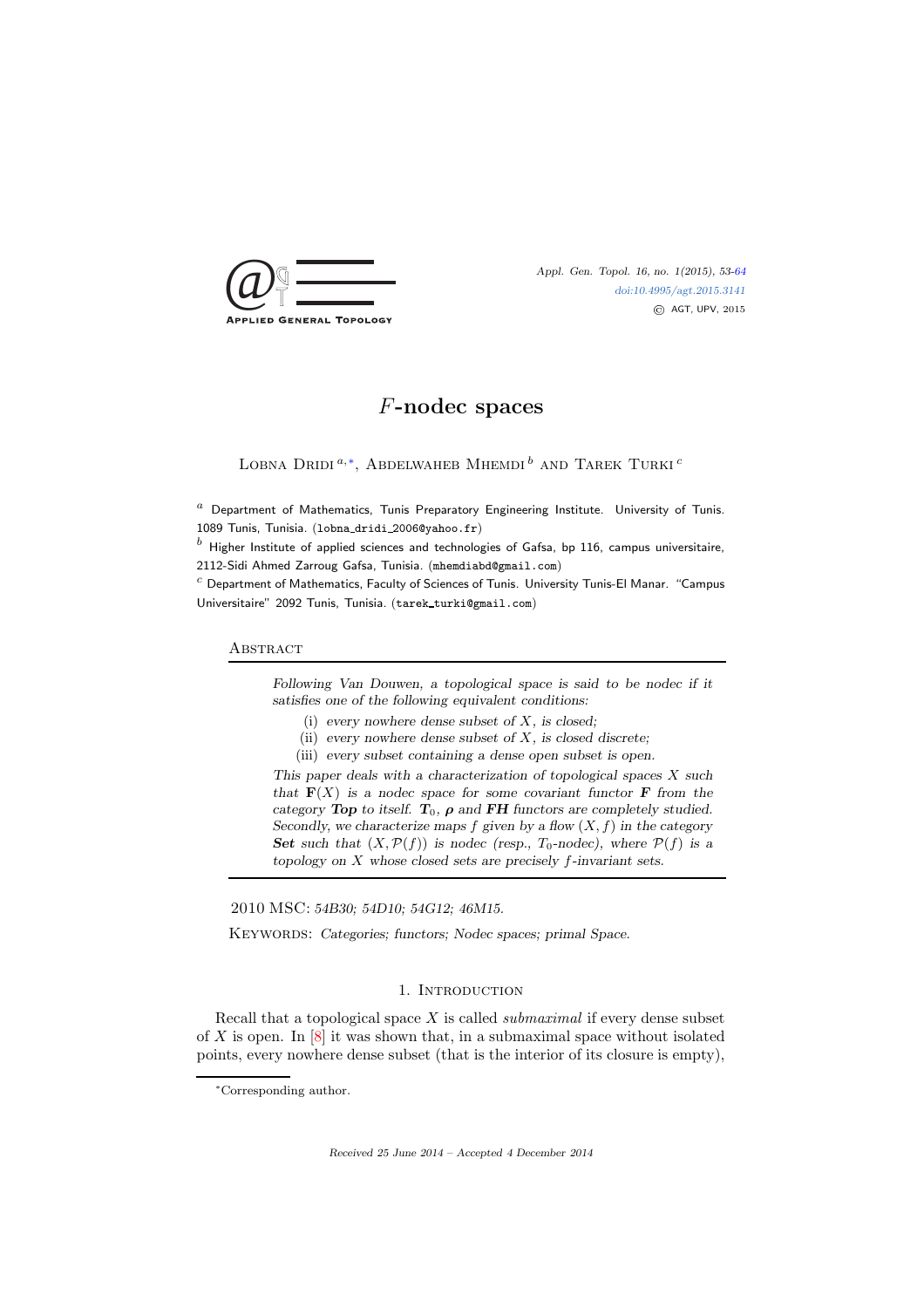

[doi:10.4995/agt.2015.3141](http://dx.doi.org/10.4995/agt.2015.3141) © AGT, UPV, 2015

# F-nodec spaces

LOBNA DRIDI  $^{a,*}$ , Abdelwaheb Mhemdi  $^b$  and Tarek Turki  $^c$ 

 $a$  Department of Mathematics, Tunis Preparatory Engineering Institute. University of Tunis. 1089 Tunis, Tunisia. (lobna dridi 2006@yahoo.fr)

 $<sup>b</sup>$  Higher Institute of applied sciences and technologies of Gafsa, bp 116, campus universitaire,</sup> 2112-Sidi Ahmed Zarroug Gafsa, Tunisia. (mhemdiabd@gmail.com)

 $c$  Department of Mathematics, Faculty of Sciences of Tunis. University Tunis-El Manar. "Campus Universitaire" 2092 Tunis, Tunisia. (tarek turki@gmail.com)

# **ABSTRACT**

Following Van Douwen, a topological space is said to be nodec if it satisfies one of the following equivalent conditions:

(i) every nowhere dense subset of  $X$ , is closed;

- (ii) every nowhere dense subset of  $X$ , is closed discrete;
- (iii) every subset containing a dense open subset is open.

This paper deals with a characterization of topological spaces  $X$  such that  $F(X)$  is a nodec space for some covariant functor F from the category Top to itself.  $T_0$ ,  $\rho$  and FH functors are completely studied. Secondly, we characterize maps f given by a flow  $(X, f)$  in the category Set such that  $(X, \mathcal{P}(f))$  is nodec (resp.,  $T_0$ -nodec), where  $\mathcal{P}(f)$  is a topology on X whose closed sets are precisely f-invariant sets.

2010 MSC: 54B30; 54D10; 54G12; 46M15.

KEYWORDS: Categories; functors; Nodec spaces; primal Space.

# 1. INTRODUCTION

Recall that a topological space  $X$  is called *submaximal* if every dense subset of X is open. In  $[8]$  it was shown that, in a submaximal space without isolated points, every nowhere dense subset (that is the interior of its closure is empty),

Received 25 June 2014 – Accepted 4 December 2014

<span id="page-0-0"></span><sup>∗</sup>Corresponding author.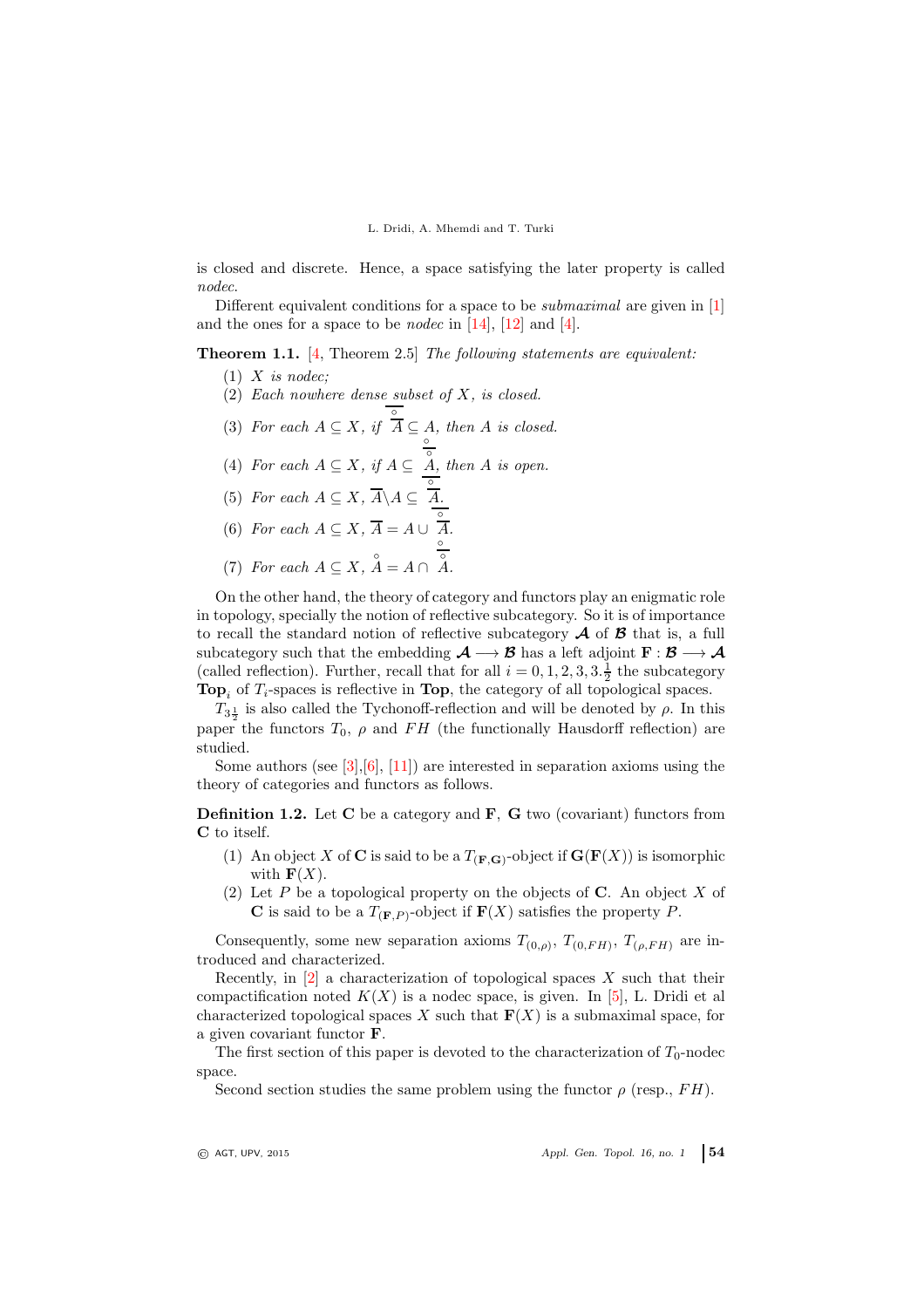is closed and discrete. Hence, a space satisfying the later property is called nodec.

Different equivalent conditions for a space to be *submaximal* are given in [\[1\]](#page-11-2) and the ones for a space to be *nodec* in  $[14]$ ,  $[12]$  and  $[4]$ .

<span id="page-1-0"></span>Theorem 1.1. [\[4,](#page-11-5) Theorem 2.5] The following statements are equivalent:

- $(1)$  X is nodec;
- (2) Each nowhere dense subset of  $X$ , is closed.
- (3) For each  $A \subseteq X$ , if  $\overline{A} \subseteq A$ , then A is closed.
- (4) For each  $A \subseteq X$ , if  $A \subseteq \overset{\circ}{A}$ , then A is open.
- (5) For each  $A \subseteq X$ ,  $\overline{A} \backslash A \subseteq \overline{A}$ .
- (6) For each  $A \subseteq X$ ,  $\overline{A} = A \cup \int_{0}^{\infty} A$ .
- (7) For each  $A \subseteq X$ ,  $A = A \cap A$ .

On the other hand, the theory of category and functors play an enigmatic role in topology, specially the notion of reflective subcategory. So it is of importance to recall the standard notion of reflective subcategory  $A$  of  $B$  that is, a full subcategory such that the embedding  $\mathcal{A} \longrightarrow \mathcal{B}$  has a left adjoint  $F : \mathcal{B} \longrightarrow \mathcal{A}$ (called reflection). Further, recall that for all  $i = 0, 1, 2, 3, 3.\frac{1}{2}$  the subcategory **Top**<sub>i</sub> of  $T_i$ -spaces is reflective in **Top**, the category of all topological spaces.

 $T_{3\frac{1}{2}}$  is also called the Tychonoff-reflection and will be denoted by  $\rho$ . In this paper the functors  $T_0$ ,  $\rho$  and FH (the functionally Hausdorff reflection) are studied.

Some authors (see [\[3\]](#page-11-6),  $[6]$ , [\[11\]](#page-11-8)) are interested in separation axioms using the theory of categories and functors as follows.

**Definition 1.2.** Let  $C$  be a category and  $F$ ,  $G$  two (covariant) functors from C to itself.

- (1) An object X of C is said to be a  $T_{(\mathbf{F},\mathbf{G})}$ -object if  $\mathbf{G}(\mathbf{F}(X))$  is isomorphic with  $\mathbf{F}(X)$ .
- (2) Let P be a topological property on the objects of C. An object X of **C** is said to be a  $T_{(\mathbf{F},P)}$ -object if  $\mathbf{F}(X)$  satisfies the property P.

Consequently, some new separation axioms  $T_{(0,\rho)}, T_{(0,FH)}, T_{(\rho,FH)}$  are introduced and characterized.

Recently, in  $[2]$  a characterization of topological spaces X such that their compactification noted  $K(X)$  is a nodec space, is given. In [\[5\]](#page-11-10), L. Dridi et all characterized topological spaces X such that  $F(X)$  is a submaximal space, for a given covariant functor F.

The first section of this paper is devoted to the characterization of  $T_0$ -nodec space.

Second section studies the same problem using the functor  $\rho$  (resp., FH).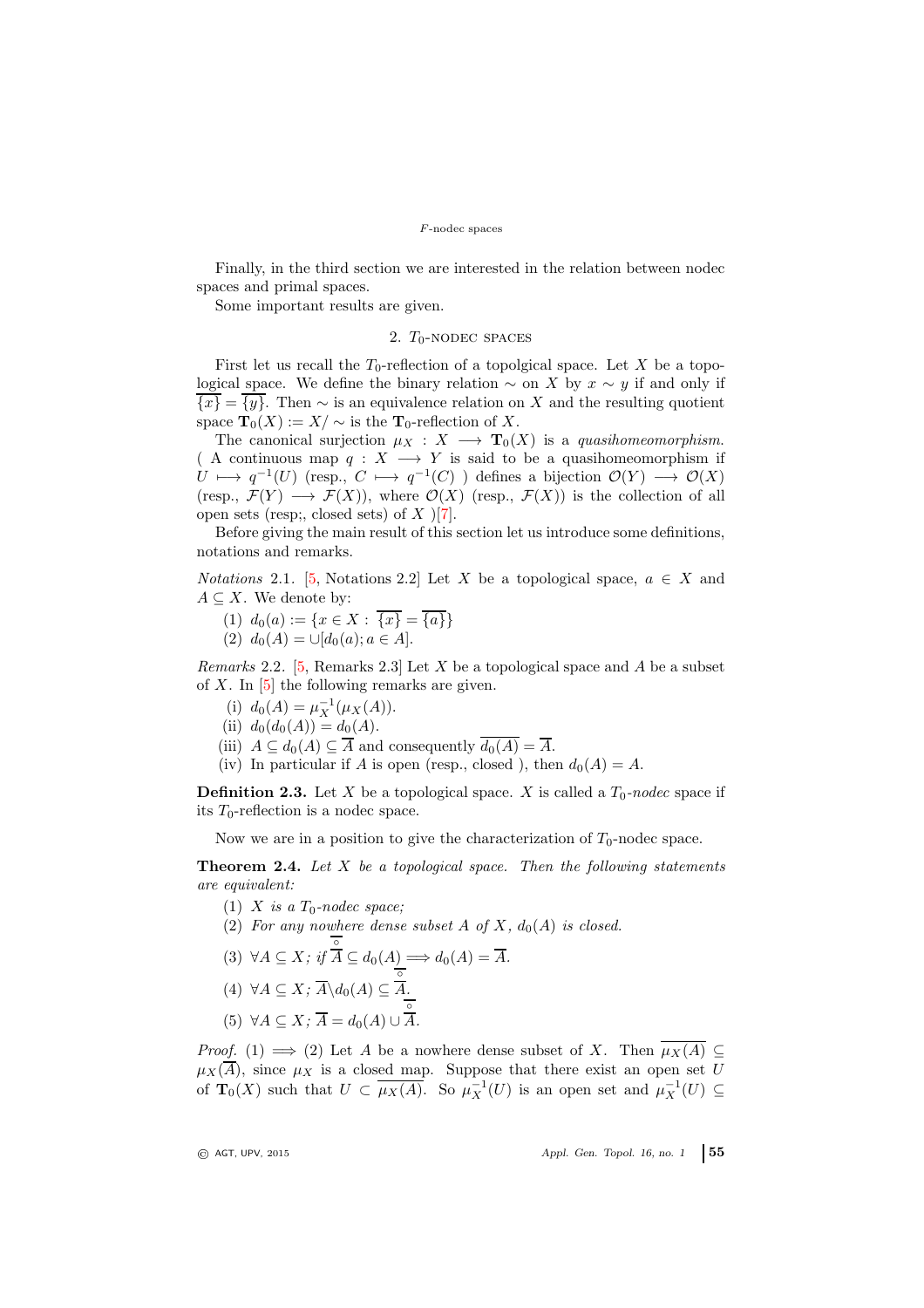Finally, in the third section we are interested in the relation between nodec spaces and primal spaces.

Some important results are given.

# 2.  $T_0$ -NODEC SPACES

First let us recall the  $T_0$ -reflection of a topolgical space. Let X be a topological space. We define the binary relation  $\sim$  on X by  $x \sim y$  if and only if  $\overline{\{x\}} = \overline{\{y\}}$ . Then  $\sim$  is an equivalence relation on X and the resulting quotient space  $\mathbf{T}_0(X) := X/\sim$  is the  $\mathbf{T}_0$ -reflection of X.

The canonical surjection  $\mu_X : X \longrightarrow \mathbf{T}_0(X)$  is a quasihomeomorphism. ( A continuous map  $q: X \longrightarrow Y$  is said to be a quasihomeomorphism if  $U \longmapsto q^{-1}(U)$  (resp.,  $C \longmapsto q^{-1}(C)$ ) defines a bijection  $\mathcal{O}(Y) \longrightarrow \mathcal{O}(X)$ (resp.,  $\mathcal{F}(Y) \longrightarrow \mathcal{F}(X)$ ), where  $\mathcal{O}(X)$  (resp.,  $\mathcal{F}(X)$ ) is the collection of all open sets (resp;, closed sets) of  $X$  )[\[7\]](#page-11-11).

Before giving the main result of this section let us introduce some definitions, notations and remarks.

*Notations* 2.1. [\[5,](#page-11-10) Notations 2.2] Let X be a topological space,  $a \in X$  and  $A \subseteq X$ . We denote by:

(1)  $d_0(a) := \{x \in X : \{x\} = \{a\}\}\$ (2)  $d_0(A) = \bigcup [d_0(a); a \in A].$ 

Remarks 2.2. [\[5,](#page-11-10) Remarks 2.3] Let  $X$  be a topological space and  $A$  be a subset of  $X$ . In  $[5]$  the following remarks are given.

- (i)  $d_0(A) = \mu_X^{-1}(\mu_X(A)).$
- (ii)  $d_0(d_0(A)) = d_0(A)$ .
- (iii)  $A \subseteq d_0(A) \subseteq \overline{A}$  and consequently  $\overline{d_0(A)} = \overline{A}$ .
- (iv) In particular if A is open (resp., closed ), then  $d_0(A) = A$ .

**Definition 2.3.** Let X be a topological space. X is called a  $T_0$ -nodec space if its  $T_0$ -reflection is a nodec space.

Now we are in a position to give the characterization of  $T_0$ -nodec space.

**Theorem 2.4.** Let  $X$  be a topological space. Then the following statements are equivalent:

- (1) X is a  $T_0$ -nodec space;
- (2) For any nowhere dense subset A of X,  $d_0(A)$  is closed.

(3) 
$$
\forall A \subseteq X
$$
; if  $\overline{A} \subseteq d_0(A) \Longrightarrow d_0(A) = \overline{A}$ .  
(4)  $\forall A \subseteq X$ ;  $\overline{A} \setminus d_0(A) \subseteq \overline{A}$ .

$$
(5) \ \forall A \subseteq X; \overline{A} = d_0(A) \cup \overline{A}.
$$

*Proof.* (1)  $\implies$  (2) Let A be a nowhere dense subset of X. Then  $\overline{\mu_X(A)} \subseteq$  $\mu_X(A)$ , since  $\mu_X$  is a closed map. Suppose that there exist an open set U of  $\mathbf{T}_0(X)$  such that  $U \subset \overline{\mu_X(A)}$ . So  $\mu_X^{-1}(U)$  is an open set and  $\mu_X^{-1}(U) \subseteq$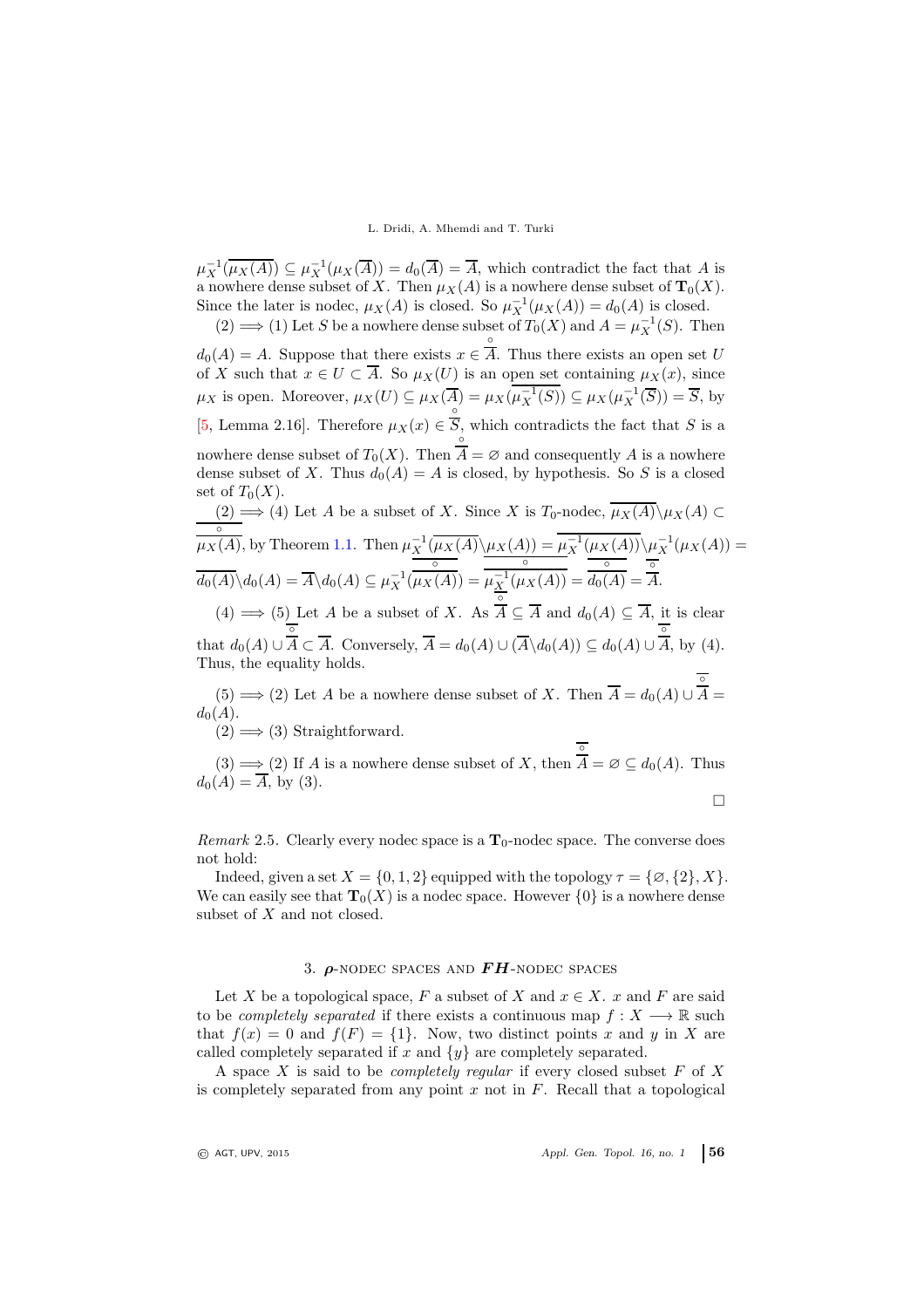$\mu_X^{-1}(\overline{\mu_X(A)}) \subseteq \mu_X^{-1}(\mu_X(\overline{A})) = d_0(\overline{A}) = \overline{A}$ , which contradict the fact that A is a nowhere dense subset of X. Then  $\mu_X(A)$  is a nowhere dense subset of  $\mathbf{T}_0(X)$ . Since the later is nodec,  $\mu_X(A)$  is closed. So  $\mu_X^{-1}(\mu_X(A)) = d_0(A)$  is closed.

(2) ⇒ (1) Let S be a nowhere dense subset of  $T_0(X)$  and  $A = \mu_X^{-1}(S)$ . Then ◦

 $d_0(A) = A$ . Suppose that there exists  $x \in$ A. Thus there exists an open set U of X such that  $x \in U \subset A$ . So  $\mu_X(U)$  is an open set containing  $\mu_X(x)$ , since  $\mu_X$  is open. Moreover,  $\mu_X(U) \subseteq \mu_X(\overline{A}) = \mu_X(\mu_X^{-1}(S)) \subseteq \mu_X(\mu_X^{-1}(\overline{S})) = \overline{S}$ , by [\[5,](#page-11-10) Lemma 2.16]. Therefore  $\mu_X(x) \in$  $^{\circ}$  $S$ , which contradicts the fact that  $S$  is a nowhere dense subset of  $T_0(X)$ . Then ◦  $A = \emptyset$  and consequently A is a nowhere dense subset of X. Thus  $d_0(A) = A$  is closed, by hypothesis. So S is a closed set of  $T_0(X)$ .

 $(2) \implies (4)$  Let A be a subset of X. Since X is T<sub>0</sub>-nodec,  $\mu_X(A) \setminus \mu_X(A)$  ⊂ ◦  $\overline{\mu_X(A)}$ , by Theorem [1.1.](#page-1-0) Then  $\mu_X^{-1}(\overline{\mu_X(A)} \setminus \mu_X(A)) = \mu_X^{-1}(\mu_X(A)) \setminus \mu_X^{-1}(\mu_X(A)) =$  $\overline{d_0(A)}\backslash d_0(A) = \overline{A}\backslash d_0(A) \subseteq \mu_X^{-1}(A)$ ◦  $\mu_X(A)) =$ ◦  $\mu_X^{-1}(\mu_X(A)) =$ ◦  $d_0(A) =$ ◦ A. ◦

 $(4) \Longrightarrow (5)$  Let A be a subset of X. As  $A \subseteq A$  and  $d_0(A) \subseteq A$ , it is clear that  $d_0(A) \cup$ ◦  $A \subset A$ . Conversely,  $A = d_0(A) \cup (A \backslash d_0(A)) \subseteq d_0(A) \cup$  $^{\circ}$ A, by (4). Thus, the equality holds.

 $(5) \Longrightarrow (2)$  Let A be a nowhere dense subset of X. Then  $A = d_0(A) \cup$ ◦  $A =$  $d_0(A)$ .

 $(2) \Longrightarrow (3)$  Straightforward.

 $(3) \Longrightarrow (2)$  If A is a nowhere dense subset of X, then ◦  $A = \varnothing \subseteq d_0(A)$ . Thus  $d_0(A) = A$ , by (3).

 $\Box$ 

Remark 2.5. Clearly every nodec space is a  $T_0$ -nodec space. The converse does not hold:

Indeed, given a set  $X = \{0, 1, 2\}$  equipped with the topology  $\tau = \{\emptyset, \{2\}, X\}.$ We can easily see that  $\mathbf{T}_0(X)$  is a nodec space. However  $\{0\}$  is a nowhere dense subset of X and not closed.

# 3.  $\rho$ -nodec spaces and  $FH$ -nodec spaces

Let X be a topological space, F a subset of X and  $x \in X$ . x and F are said to be *completely separated* if there exists a continuous map  $f: X \longrightarrow \mathbb{R}$  such that  $f(x) = 0$  and  $f(F) = \{1\}$ . Now, two distinct points x and y in X are called completely separated if x and  $\{y\}$  are completely separated.

A space  $X$  is said to be *completely regular* if every closed subset  $F$  of  $X$ is completely separated from any point  $x$  not in  $F$ . Recall that a topological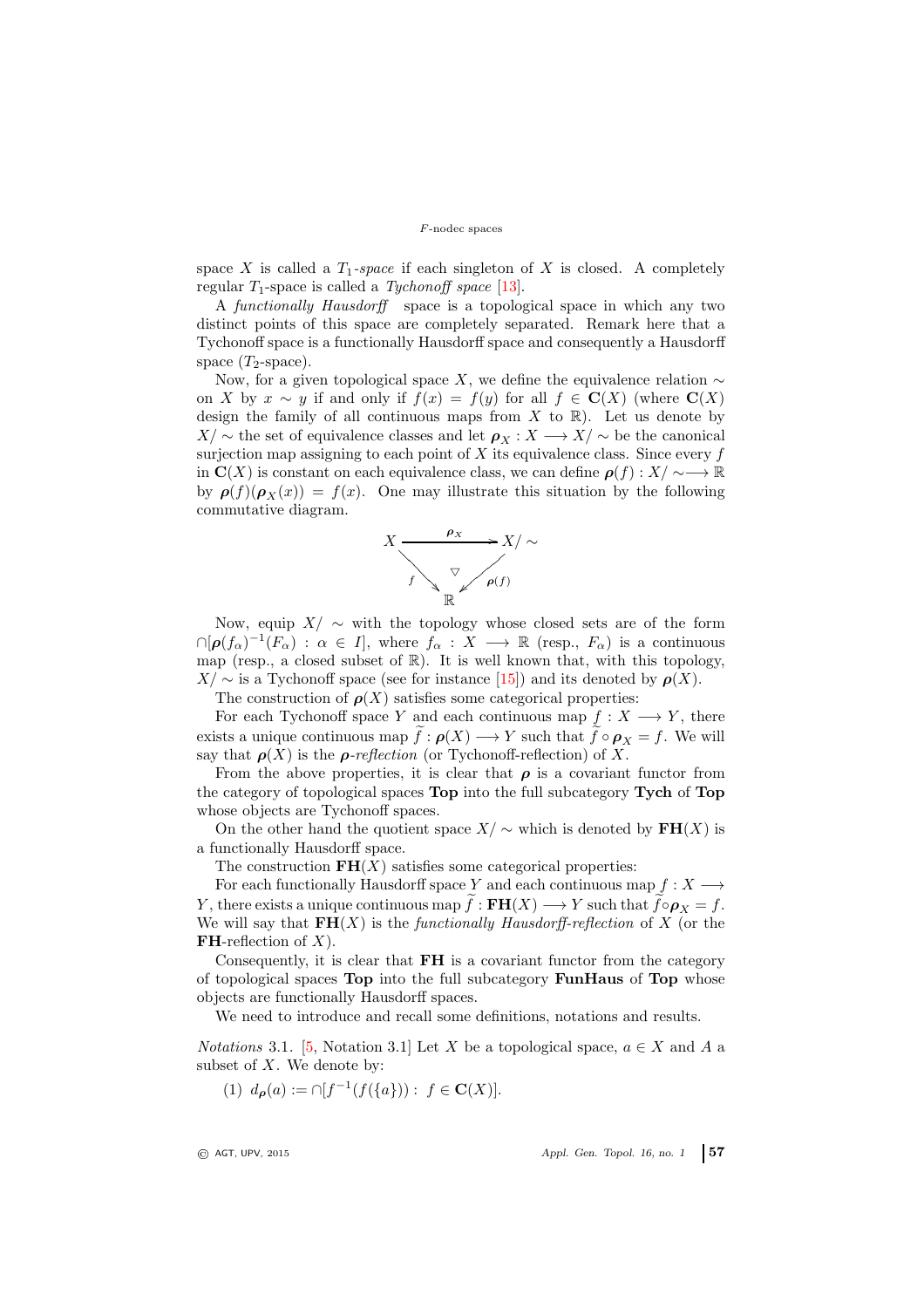space X is called a  $T_1$ -space if each singleton of X is closed. A completely regular  $T_1$ -space is called a Tychonoff space [\[13\]](#page-11-12).

A functionally Hausdorff space is a topological space in which any two distinct points of this space are completely separated. Remark here that a Tychonoff space is a functionally Hausdorff space and consequently a Hausdorff space  $(T_2$ -space).

Now, for a given topological space X, we define the equivalence relation  $\sim$ on X by  $x \sim y$  if and only if  $f(x) = f(y)$  for all  $f \in \mathbf{C}(X)$  (where  $\mathbf{C}(X)$ ) design the family of all continuous maps from  $X$  to  $\mathbb{R}$ ). Let us denote by  $X/\sim$  the set of equivalence classes and let  $\rho_X : X \longrightarrow X/\sim$  be the canonical surjection map assigning to each point of  $X$  its equivalence class. Since every  $f$ in  $\mathbf{C}(X)$  is constant on each equivalence class, we can define  $\rho(f): X/\sim\longrightarrow \mathbb{R}$ by  $\rho(f)(\rho_X(x)) = f(x)$ . One may illustrate this situation by the following commutative diagram.



Now, equip  $X/\sim$  with the topology whose closed sets are of the form  $\cap [\rho(f_\alpha)^{-1}(F_\alpha) : \alpha \in I],$  where  $f_\alpha : X \longrightarrow \mathbb{R}$  (resp.,  $F_\alpha$ ) is a continuous map (resp., a closed subset of  $\mathbb{R}$ ). It is well known that, with this topology,  $X/\sim$  is a Tychonoff space (see for instance [\[15\]](#page-11-13)) and its denoted by  $\rho(X)$ .

The construction of  $\rho(X)$  satisfies some categorical properties:

For each Tychonoff space Y and each continuous map  $f: X \longrightarrow Y$ , there exists a unique continuous map  $f : \rho(X) \longrightarrow Y$  such that  $f \circ \rho_X = f$ . We will say that  $\rho(X)$  is the *ρ-reflection* (or Tychonoff-reflection) of X.

From the above properties, it is clear that  $\rho$  is a covariant functor from the category of topological spaces Top into the full subcategory Tych of Top whose objects are Tychonoff spaces.

On the other hand the quotient space  $X/\sim$  which is denoted by  $\mathbf{FH}(X)$  is a functionally Hausdorff space.

The construction  $FH(X)$  satisfies some categorical properties:

For each functionally Hausdorff space Y and each continuous map  $f: X \longrightarrow$ Y, there exists a unique continuous map  $\tilde{f}: \mathbf{FH}(X) \longrightarrow Y$  such that  $\tilde{f} \circ \rho_X = f$ . We will say that  $FH(X)$  is the functionally Hausdorff-reflection of X (or the **FH**-reflection of  $X$ ).

Consequently, it is clear that FH is a covariant functor from the category of topological spaces Top into the full subcategory FunHaus of Top whose objects are functionally Hausdorff spaces.

We need to introduce and recall some definitions, notations and results.

*Notations* 3.1. [\[5,](#page-11-10) Notation 3.1] Let X be a topological space,  $a \in X$  and A a subset of  $X$ . We denote by:

(1) 
$$
d_{\rho}(a) := \cap [f^{-1}(f(\{a\})) : f \in \mathbf{C}(X)].
$$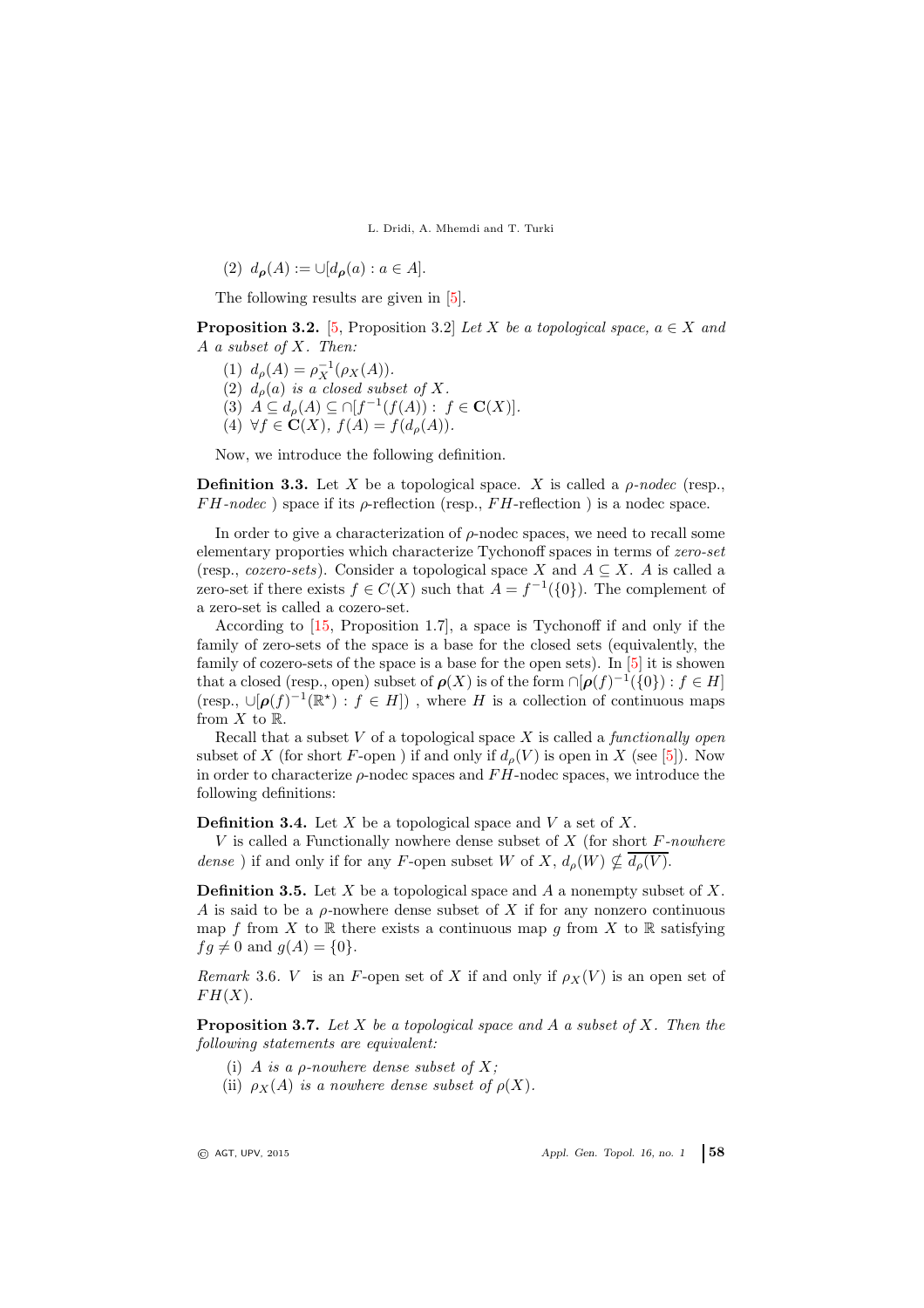(2)  $d_{\rho}(A) := \cup [d_{\rho}(a) : a \in A].$ 

The following results are given in  $[5]$ .

**Proposition 3.2.** [\[5,](#page-11-10) Proposition 3.2] Let X be a topological space,  $a \in X$  and A a subset of X. Then:

- (1)  $d_{\rho}(A) = \rho_X^{-1}(\rho_X(A)).$
- (2)  $d_{\rho}(a)$  is a closed subset of X.
- (3)  $A \subseteq d_{\rho}(A) \subseteq \cap [f^{-1}(f(A)) : f \in \mathbf{C}(X)].$
- (4)  $\forall f \in \mathbf{C}(X), f(A) = f(d_{\rho}(A)).$

Now, we introduce the following definition.

**Definition 3.3.** Let X be a topological space. X is called a  $\rho$ -nodec (resp.,  $FH\text{-}nodec$ ) space if its  $\rho$ -reflection (resp.,  $FH\text{-}reflection$ ) is a nodec space.

In order to give a characterization of  $\rho$ -nodec spaces, we need to recall some elementary proporties which characterize Tychonoff spaces in terms of zero-set (resp., cozero-sets). Consider a topological space X and  $A \subseteq X$ . A is called a zero-set if there exists  $f \in C(X)$  such that  $A = f^{-1}(\{0\})$ . The complement of a zero-set is called a cozero-set.

According to [\[15,](#page-11-13) Proposition 1.7], a space is Tychonoff if and only if the family of zero-sets of the space is a base for the closed sets (equivalently, the family of cozero-sets of the space is a base for the open sets). In [\[5\]](#page-11-10) it is showen that a closed (resp., open) subset of  $\rho(X)$  is of the form  $\cap [\rho(f)^{-1}(\{0\}) : f \in H]$ (resp.,  $\cup [\rho(f)^{-1}(\mathbb{R}^*) : f \in H]$ ), where H is a collection of continuous maps from  $X$  to  $\mathbb{R}$ .

Recall that a subset  $V$  of a topological space  $X$  is called a *functionally open* subset of X (for short F-open) if and only if  $d_{\rho}(V)$  is open in X (see [\[5\]](#page-11-10)). Now in order to characterize  $\rho$ -nodec spaces and  $FH$ -nodec spaces, we introduce the following definitions:

**Definition 3.4.** Let  $X$  be a topological space and  $V$  a set of  $X$ .

V is called a Functionally nowhere dense subset of  $X$  (for short  $F$ -nowhere dense) if and only if for any F-open subset W of X,  $d_o(W) \nsubseteq \overline{d_o(V)}$ .

**Definition 3.5.** Let  $X$  be a topological space and  $A$  a nonempty subset of  $X$ . A is said to be a  $\rho$ -nowhere dense subset of X if for any nonzero continuous map f from X to R there exists a continuous map q from X to R satisfying  $fq \neq 0$  and  $q(A) = \{0\}.$ 

Remark 3.6. V is an F-open set of X if and only if  $\rho_X(V)$  is an open set of  $FH(X).$ 

<span id="page-5-0"></span>**Proposition 3.7.** Let X be a topological space and A a subset of X. Then the following statements are equivalent:

- (i) A is a  $\rho$ -nowhere dense subset of X;
- (ii)  $\rho_X(A)$  is a nowhere dense subset of  $\rho(X)$ .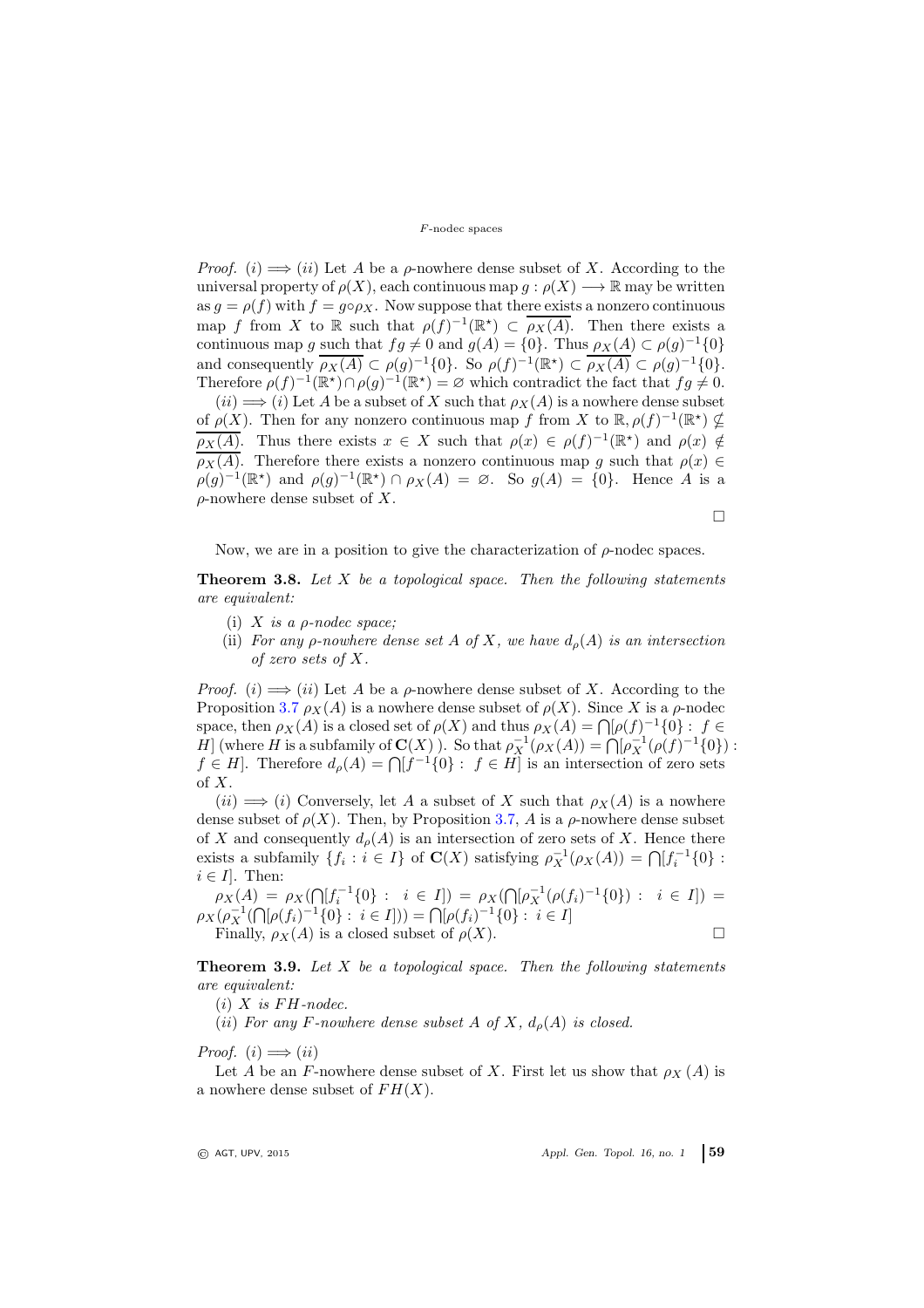*Proof.* (i)  $\implies$  (ii) Let A be a  $\rho$ -nowhere dense subset of X. According to the universal property of  $\rho(X)$ , each continuous map  $g : \rho(X) \longrightarrow \mathbb{R}$  may be written as  $g = \rho(f)$  with  $f = g \circ \rho_X$ . Now suppose that there exists a nonzero continuous map f from X to R such that  $\rho(f)^{-1}(\mathbb{R}^*) \subset \overline{\rho_X(A)}$ . Then there exists a continuous map g such that  $fg \neq 0$  and  $g(A) = \{0\}$ . Thus  $\rho_X(A) \subset \rho(g)^{-1}\{0\}$ and consequently  $\overline{\rho_X(A)} \subset \rho(g)^{-1}\{0\}$ . So  $\rho(f)^{-1}(\mathbb{R}^*) \subset \overline{\rho_X(A)} \subset \rho(g)^{-1}\{0\}$ . Therefore  $\rho(f)^{-1}(\mathbb{R}^*) \cap \rho(g)^{-1}(\mathbb{R}^*) = \varnothing$  which contradict the fact that  $fg \neq 0$ .

 $(ii) \Longrightarrow (i)$  Let A be a subset of X such that  $\rho_X(A)$  is a nowhere dense subset of  $\rho(X)$ . Then for any nonzero continuous map f from X to  $\mathbb{R}, \rho(f)^{-1}(\mathbb{R}^*) \nsubseteq$  $\rho_X(A)$ . Thus there exists  $x \in X$  such that  $\rho(x) \in \rho(f)^{-1}(\mathbb{R}^*)$  and  $\rho(x) \notin$  $\overline{\rho_X(A)}$ . Therefore there exists a nonzero continuous map g such that  $\rho(x) \in$  $\rho(g)^{-1}(\mathbb{R}^*)$  and  $\rho(g)^{-1}(\mathbb{R}^*) \cap \rho_X(A) = \emptyset$ . So  $g(A) = \{0\}$ . Hence A is a  $\rho$ -nowhere dense subset of X.

 $\Box$ 

Now, we are in a position to give the characterization of  $\rho$ -nodec spaces.

**Theorem 3.8.** Let  $X$  be a topological space. Then the following statements are equivalent:

- (i)  $X$  is a *ρ*-nodec space:
- (ii) For any *ρ*-nowhere dense set A of X, we have  $d_o(A)$  is an intersection of zero sets of X.

*Proof.* (i)  $\implies$  (ii) Let A be a  $\rho$ -nowhere dense subset of X. According to the Proposition [3.7](#page-5-0)  $\rho_X(A)$  is a nowhere dense subset of  $\rho(X)$ . Since X is a  $\rho$ -nodec space, then  $\rho_X(A)$  is a closed set of  $\rho(X)$  and thus  $\rho_X(A) = \bigcap [\rho(f)^{-1}\{0\} : f \in$ H (where H is a subfamily of  $\mathbf{C}(X)$ ). So that  $\rho_X^{-1}(\rho_X(A)) = \bigcap_{i=1}^{\infty} \rho_X^{-1}(\rho(f)^{-1}\{0\})$ :  $f \in H$ . Therefore  $d_{\rho}(A) = \bigcap [f^{-1}\{0\} : f \in H]$  is an intersection of zero sets of X.

 $(ii) \implies (i)$  Conversely, let A a subset of X such that  $\rho_X(A)$  is a nowhere dense subset of  $\rho(X)$ . Then, by Proposition [3.7,](#page-5-0) A is a  $\rho$ -nowhere dense subset of X and consequently  $d_{\rho}(A)$  is an intersection of zero sets of X. Hence there exists a subfamily  $\{f_i : i \in I\}$  of  $\mathbf{C}(X)$  satisfying  $\rho_X^{-1}(\rho_X(A)) = \bigcap [f_i^{-1}\{0\}$ :  $i \in I$ . Then:

 $\rho_X(A) = \rho_X(\bigcap [f_i^{-1}\{0\} : i \in I]) = \rho_X(\bigcap [\rho_X^{-1}(\rho(f_i)^{-1}\{0\}) : i \in I]) =$  $\rho_X(\rho_X^{-1}(\bigcap[\rho(f_i)^{-1}\{0\} : i \in I])) = \bigcap[\rho(f_i)^{-1}\{0\} : i \in I]$ Finally,  $\rho_X(A)$  is a closed subset of  $\rho(X)$ .

**Theorem 3.9.** Let  $X$  be a topological space. Then the following statements are equivalent:

 $(i)$  X is FH-nodec.

(ii) For any F-nowhere dense subset A of X,  $d_{\rho}(A)$  is closed.

Proof.  $(i) \Longrightarrow (ii)$ 

Let A be an F-nowhere dense subset of X. First let us show that  $\rho_X(A)$  is a nowhere dense subset of  $FH(X)$ .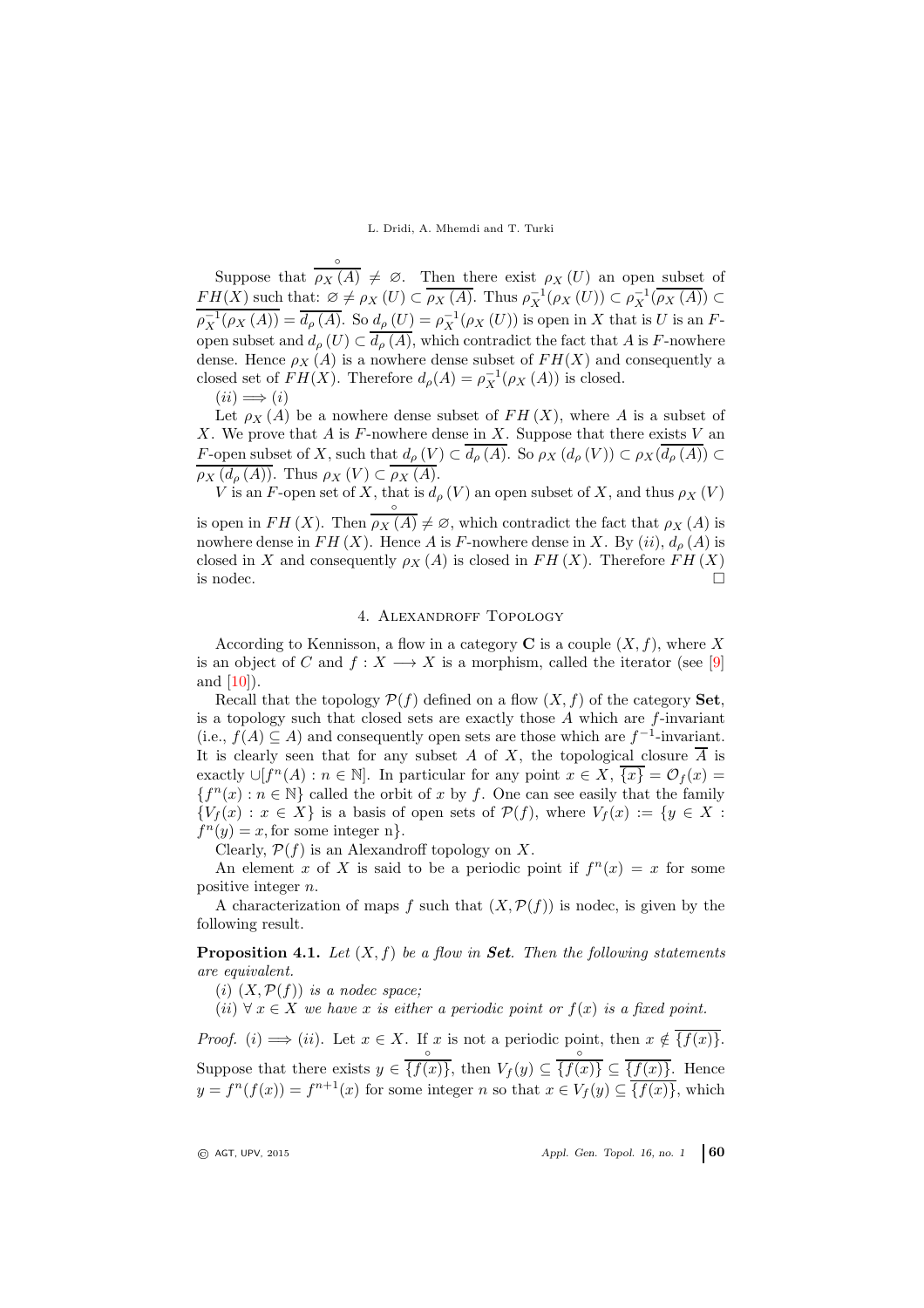Suppose that ◦  $\rho_X(A) \neq \emptyset$ . Then there exist  $\rho_X(U)$  an open subset of  $FH(X)$  such that:  $\emptyset \neq \rho_X(U) \subset \overline{\rho_X(A)}$ . Thus  $\rho_X^{-1}(\rho_X(U)) \subset \rho_X^{-1}(\overline{\rho_X(A)}) \subset$  $\rho_X^{-1}(\rho_X(A)) = \overline{d_\rho(A)}$ . So  $d_\rho(U) = \rho_X^{-1}(\rho_X(U))$  is open in X that is U is an Fopen subset and  $d_{\rho}(U) \subset d_{\rho}(A)$ , which contradict the fact that A is F-nowhere dense. Hence  $\rho_X(A)$  is a nowhere dense subset of  $FH(X)$  and consequently a closed set of  $FH(X)$ . Therefore  $d_{\rho}(A) = \rho_X^{-1}(\rho_X(A))$  is closed.

 $(ii) \Longrightarrow (i)$ 

Let  $\rho_X(A)$  be a nowhere dense subset of  $FH(X)$ , where A is a subset of X. We prove that A is F-nowhere dense in X. Suppose that there exists  $V$  and F-open subset of X, such that  $d_{\rho}(V) \subset d_{\rho}(A)$ . So  $\rho_X(d_{\rho}(V)) \subset \rho_X(d_{\rho}(A)) \subset$  $\rho_X(d_\rho(A))$ . Thus  $\rho_X(V) \subset \rho_X(A)$ .

V is an F-open set of X, that is  $d_{\rho}(V)$  an open subset of X, and thus  $\rho_X(V)$ ◦

is open in  $FH(X)$ . Then  $\rho_X(A) \neq \emptyset$ , which contradict the fact that  $\rho_X(A)$  is nowhere dense in  $FH(X)$ . Hence A is F-nowhere dense in X. By  $(ii)$ ,  $d_{\rho}(A)$  is closed in X and consequently  $\rho_X(A)$  is closed in FH(X). Therefore FH(X) is nodec.  $\Box$ 

# 4. Alexandroff Topology

According to Kennisson, a flow in a category **C** is a couple  $(X, f)$ , where X is an object of C and  $f: X \longrightarrow X$  is a morphism, called the iterator (see [\[9\]](#page-11-14) and [\[10\]](#page-11-15)).

Recall that the topology  $\mathcal{P}(f)$  defined on a flow  $(X, f)$  of the category **Set**, is a topology such that closed sets are exactly those  $A$  which are  $f$ -invariant (i.e.,  $f(A) \subseteq A$ ) and consequently open sets are those which are  $f^{-1}$ -invariant. It is clearly seen that for any subset A of X, the topological closure  $\overline{A}$  is exactly  $\cup [f^n(A) : n \in \mathbb{N}]$ . In particular for any point  $x \in X$ ,  $\overline{\{x\}} = \mathcal{O}_f(x) =$  ${f<sup>n</sup>(x) : n \in \mathbb{N}}$  called the orbit of x by f. One can see easily that the family  ${V_f (x) : x \in X}$  is a basis of open sets of  $P(f)$ , where  $V_f (x) := \{y \in X : f(y) = 0\}$  $f^{n}(y) = x$ , for some integer n}.

Clearly,  $\mathcal{P}(f)$  is an Alexandroff topology on X.

An element x of X is said to be a periodic point if  $f^{(n)}(x) = x$  for some positive integer n.

A characterization of maps f such that  $(X, \mathcal{P}(f))$  is nodec, is given by the following result.

**Proposition 4.1.** Let  $(X, f)$  be a flow in **Set**. Then the following statements are equivalent.

(i)  $(X, \mathcal{P}(f))$  is a nodec space;

(ii)  $\forall x \in X$  we have x is either a periodic point or  $f(x)$  is a fixed point.

*Proof.* (i)  $\implies$  (ii). Let  $x \in X$ . If x is not a periodic point, then  $x \notin \{f(x)\}.$ Suppose that there exists  $y \in$ ◦  $\{f(x)\}\text{, then }V_f(y)\subseteq$ ◦  ${f(x)} \subseteq {f(x)}$ . Hence  $y = f^{n}(f(x)) = f^{n+1}(x)$  for some integer n so that  $x \in V_f(y) \subseteq \overline{\{f(x)\}}$ , which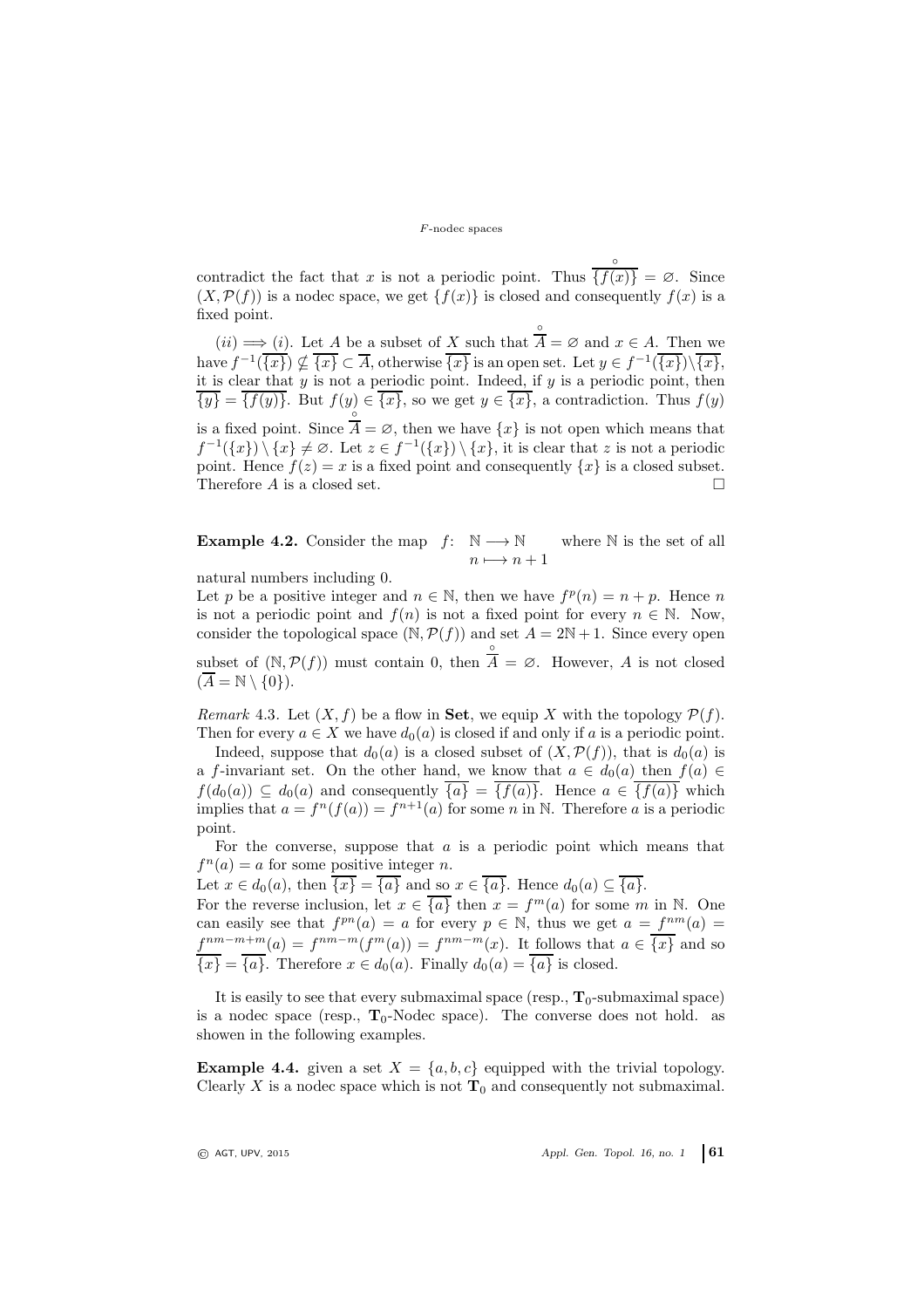contradict the fact that  $x$  is not a periodic point. Thus ◦  ${f(x)} = \emptyset$ . Since  $(X, \mathcal{P}(f))$  is a nodec space, we get  $\{f(x)\}\$ is closed and consequently  $f(x)$  is a fixed point. ◦

 $(ii) \Longrightarrow (i)$ . Let A be a subset of X such that  $A = \emptyset$  and  $x \in A$ . Then we have  $f^{-1}(\overline{\{x\}})\nsubseteq \overline{\{x\}} \subset \overline{A}$ , otherwise  $\overline{\{x\}}$  is an open set. Let  $y \in f^{-1}(\overline{\{x\}})\backslash \overline{\{x\}}$ , it is clear that  $y$  is not a periodic point. Indeed, if  $y$  is a periodic point, then  ${\overline{y}} = {\overline{f(y)}}$ . But  $f(y) \in {\overline{x}}$ , so we get  $y \in {\overline{x}}$ , a contradiction. Thus  $f(y)$ is a fixed point. Since ◦  $A = \emptyset$ , then we have  $\{x\}$  is not open which means that  $f^{-1}(\lbrace x \rbrace) \setminus \lbrace x \rbrace \neq \emptyset$ . Let  $z \in f^{-1}(\lbrace x \rbrace) \setminus \lbrace x \rbrace$ , it is clear that z is not a periodic point. Hence  $f(z) = x$  is a fixed point and consequently  $\{x\}$  is a closed subset. Therefore  $A$  is a closed set.

**Example 4.2.** Consider the map  $f: \mathbb{N} \longrightarrow \mathbb{N}$  $n \longmapsto n + 1$ where N is the set of all

natural numbers including 0.

Let p be a positive integer and  $n \in \mathbb{N}$ , then we have  $f^p(n) = n + p$ . Hence n is not a periodic point and  $f(n)$  is not a fixed point for every  $n \in \mathbb{N}$ . Now, consider the topological space  $(N, \mathcal{P}(f))$  and set  $A = 2N + 1$ . Since every open subset of  $(N, \mathcal{P}(f))$  must contain 0, then ◦  $A = \emptyset$ . However, A is not closed  $(\overline{A} = \mathbb{N} \setminus \{0\}).$ 

<span id="page-8-0"></span>Remark 4.3. Let  $(X, f)$  be a flow in **Set**, we equip X with the topology  $\mathcal{P}(f)$ . Then for every  $a \in X$  we have  $d_0(a)$  is closed if and only if a is a periodic point.

Indeed, suppose that  $d_0(a)$  is a closed subset of  $(X, \mathcal{P}(f))$ , that is  $d_0(a)$  is a f-invariant set. On the other hand, we know that  $a \in d_0(a)$  then  $f(a) \in$  $f(d_0(a)) \subseteq d_0(a)$  and consequently  $\overline{\{a\}} = \overline{\{f(a)\}}$ . Hence  $a \in \overline{\{f(a)\}}$  which implies that  $a = f^{n}(f(a)) = f^{n+1}(a)$  for some n in N. Therefore a is a periodic point.

For the converse, suppose that  $a$  is a periodic point which means that  $f^{n}(a) = a$  for some positive integer *n*.

Let  $x \in d_0(a)$ , then  $\overline{\{x\}} = \overline{\{a\}}$  and so  $x \in \overline{\{a\}}$ . Hence  $d_0(a) \subseteq \overline{\{a\}}$ .

For the reverse inclusion, let  $x \in \overline{\{a\}}$  then  $x = f^m(a)$  for some m in N. One can easily see that  $f^{pn}(a) = a$  for every  $p \in \mathbb{N}$ , thus we get  $a = f^{nm}(a) =$  $f^{nm-m+m}(a) = f^{nm-m}(f^m(a)) = f^{nm-m}(x)$ . It follows that  $a \in \overline{\{x\}}$  and so  ${x} = {a}$ . Therefore  $x \in d_0(a)$ . Finally  $d_0(a) = {a}$  is closed.

It is easily to see that every submaximal space (resp.,  $T_0$ -submaximal space) is a nodec space (resp.,  $T_0$ -Nodec space). The converse does not hold. as showen in the following examples.

**Example 4.4.** given a set  $X = \{a, b, c\}$  equipped with the trivial topology. Clearly X is a nodec space which is not  $\mathbf{T}_0$  and consequently not submaximal.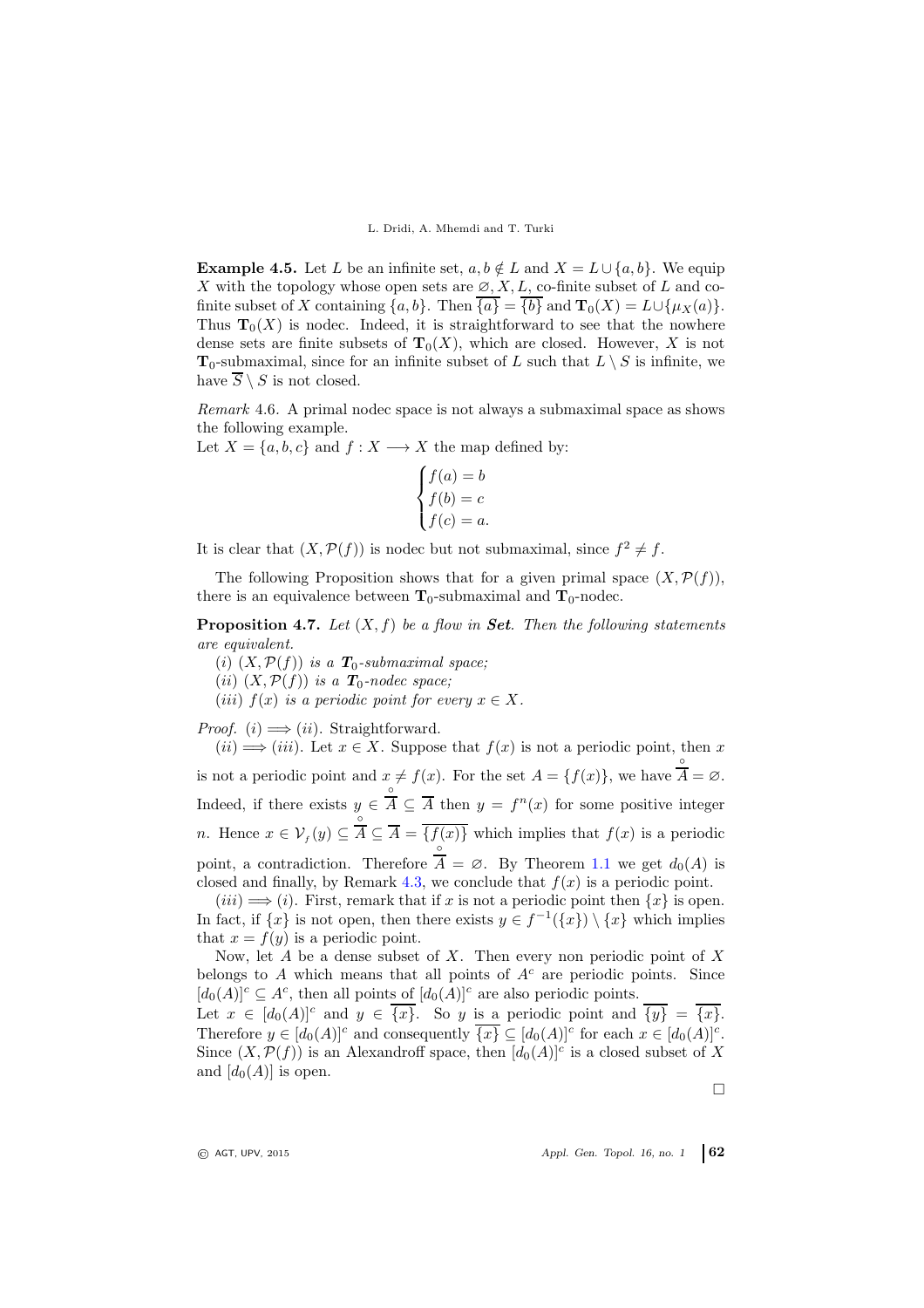**Example 4.5.** Let L be an infinite set,  $a, b \notin L$  and  $X = L \cup \{a, b\}$ . We equip X with the topology whose open sets are  $\varnothing, X, L$ , co-finite subset of L and cofinite subset of X containing  $\{a, b\}$ . Then  $\overline{\{a\}} = \overline{\{b\}}$  and  $\mathbf{T}_0(X) = L \cup \{\mu_X(a)\}.$ Thus  $\mathbf{T}_0(X)$  is nodec. Indeed, it is straightforward to see that the nowhere dense sets are finite subsets of  $T_0(X)$ , which are closed. However, X is not  $T_0$ -submaximal, since for an infinite subset of L such that  $L \setminus S$  is infinite, we have  $\overline{S} \setminus S$  is not closed.

Remark 4.6. A primal nodec space is not always a submaximal space as shows the following example.

Let  $X = \{a, b, c\}$  and  $f : X \longrightarrow X$  the map defined by:

$$
\begin{cases}\nf(a) = b \\
f(b) = c \\
f(c) = a.\n\end{cases}
$$

It is clear that  $(X, \mathcal{P}(f))$  is nodec but not submaximal, since  $f^2 \neq f$ .

The following Proposition shows that for a given primal space  $(X, \mathcal{P}(f)),$ there is an equivalence between  $T_0$ -submaximal and  $T_0$ -nodec.

**Proposition 4.7.** Let  $(X, f)$  be a flow in **Set**. Then the following statements are equivalent.

(i)  $(X, \mathcal{P}(f))$  is a  $T_0$ -submaximal space;

(ii)  $(X, \mathcal{P}(f))$  is a  $T_0$ -nodec space;

(iii)  $f(x)$  is a periodic point for every  $x \in X$ .

*Proof.* (*i*)  $\implies$  (*ii*). Straightforward.

 $(ii) \Longrightarrow (iii)$ . Let  $x \in X$ . Suppose that  $f(x)$  is not a periodic point, then x is not a periodic point and  $x \neq f(x)$ . For the set  $A = \{f(x)\}\,$ , we have ◦  $A = \varnothing$ . Indeed, if there exists  $y \in$ ◦  $\overline{A} \subseteq \overline{A}$  then  $y = f^{n}(x)$  for some positive integer *n*. Hence  $x \in \mathcal{V}_f(y) \subseteq$ ◦  $A \subseteq A = \{f(x)\}\$  which implies that  $f(x)$  is a periodic point, a contradiction. Therefore  $A = \emptyset$ . By Theorem [1.1](#page-1-0) we get  $d_0(A)$  is ◦ closed and finally, by Remark [4.3,](#page-8-0) we conclude that  $f(x)$  is a periodic point.

 $(iii) \Longrightarrow (i)$ . First, remark that if x is not a periodic point then  $\{x\}$  is open. In fact, if  $\{x\}$  is not open, then there exists  $y \in f^{-1}(\{x\}) \setminus \{x\}$  which implies that  $x = f(y)$  is a periodic point.

Now, let  $A$  be a dense subset of  $X$ . Then every non periodic point of  $X$ belongs to A which means that all points of  $A<sup>c</sup>$  are periodic points. Since  $[d_0(A)]^c \subseteq A^c$ , then all points of  $[d_0(A)]^c$  are also periodic points.

Let  $x \in [d_0(A)]^c$  and  $y \in \overline{\{x\}}$ . So y is a periodic point and  $\overline{\{y\}} = \overline{\{x\}}$ . Therefore  $y \in [d_0(A)]^c$  and consequently  $\overline{\{x\}} \subseteq [d_0(A)]^c$  for each  $x \in [d_0(A)]^c$ . Since  $(X, \mathcal{P}(f))$  is an Alexandroff space, then  $[d_0(A)]^c$  is a closed subset of X and  $[d_0(A)]$  is open.

 $\Box$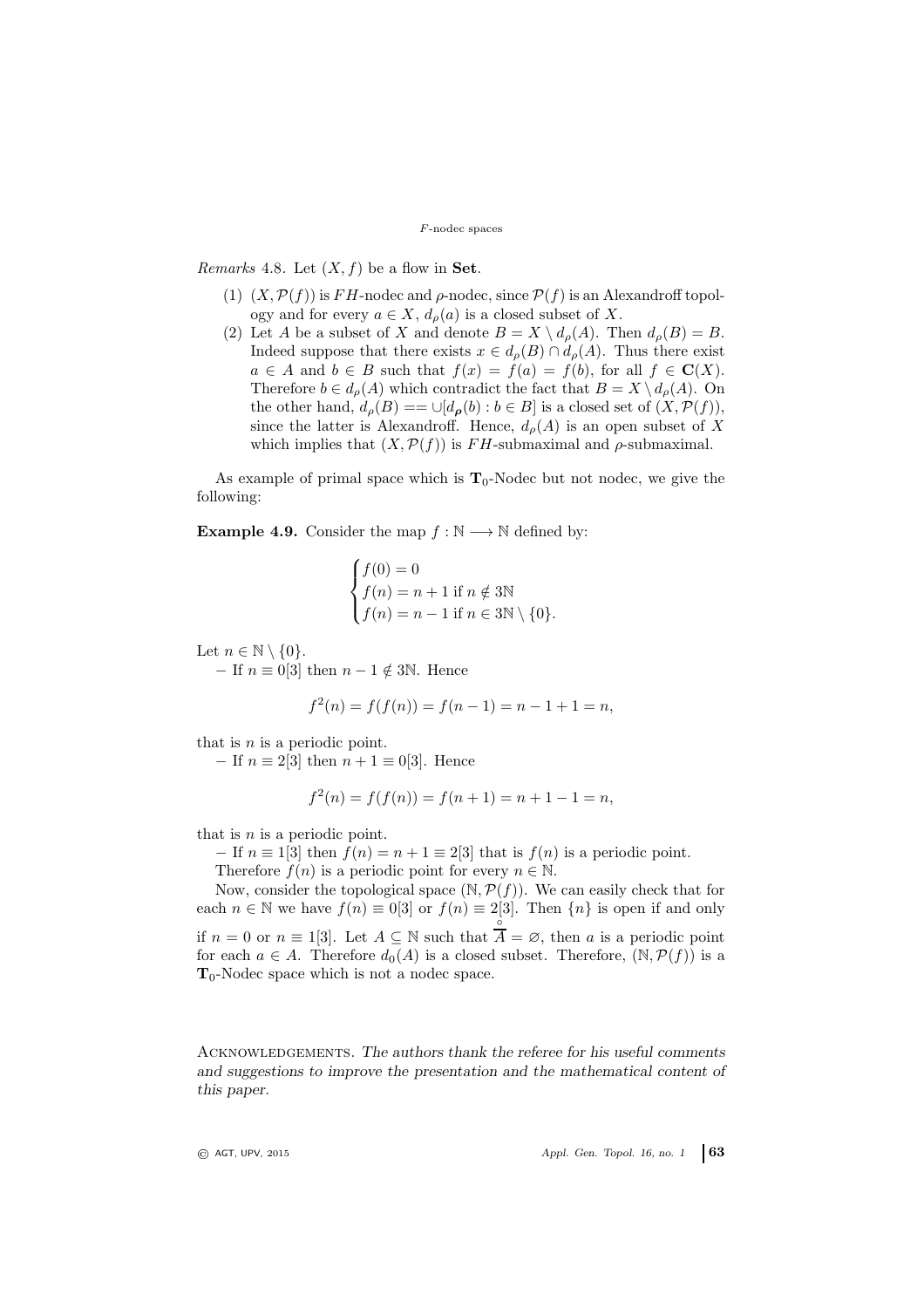*Remarks* 4.8. Let  $(X, f)$  be a flow in **Set**.

- (1)  $(X, \mathcal{P}(f))$  is FH-nodec and  $\rho$ -nodec, since  $\mathcal{P}(f)$  is an Alexandroff topology and for every  $a \in X$ ,  $d_{\rho}(a)$  is a closed subset of X.
- (2) Let A be a subset of X and denote  $B = X \setminus d_{\rho}(A)$ . Then  $d_{\rho}(B) = B$ . Indeed suppose that there exists  $x \in d_{\rho}(B) \cap d_{\rho}(A)$ . Thus there exist  $a \in A$  and  $b \in B$  such that  $f(x) = f(a) = f(b)$ , for all  $f \in \mathbf{C}(X)$ . Therefore  $b \in d_{\rho}(A)$  which contradict the fact that  $B = X \setminus d_{\rho}(A)$ . On the other hand,  $d_{\rho}(B) = \bigcup [d_{\rho}(b) : b \in B]$  is a closed set of  $(X, \mathcal{P}(f)),$ since the latter is Alexandroff. Hence,  $d_{\rho}(A)$  is an open subset of X which implies that  $(X, \mathcal{P}(f))$  is FH-submaximal and  $\rho$ -submaximal.

As example of primal space which is  $T_0$ -Nodec but not nodec, we give the following:

**Example 4.9.** Consider the map  $f : \mathbb{N} \longrightarrow \mathbb{N}$  defined by:

$$
\begin{cases}\nf(0) = 0 \\
f(n) = n + 1 \text{ if } n \notin 3\mathbb{N} \\
f(n) = n - 1 \text{ if } n \in 3\mathbb{N} \setminus \{0\}.\n\end{cases}
$$

Let  $n \in \mathbb{N} \setminus \{0\}.$ 

− If  $n \equiv 0$ [3] then  $n - 1 \notin 3\mathbb{N}$ . Hence

$$
f^{2}(n) = f(f(n)) = f(n - 1) = n - 1 + 1 = n,
$$

that is  $n$  is a periodic point.

− If  $n \equiv 2[3]$  then  $n + 1 \equiv 0[3]$ . Hence

$$
f^{2}(n) = f(f(n)) = f(n+1) = n+1-1 = n,
$$

that is  $n$  is a periodic point.

 $-$  If  $n \equiv 1$ [3] then  $f(n) = n + 1 \equiv 2$ [3] that is  $f(n)$  is a periodic point.

Therefore  $f(n)$  is a periodic point for every  $n \in \mathbb{N}$ .

Now, consider the topological space  $(N, P(f))$ . We can easily check that for each  $n \in \mathbb{N}$  we have  $f(n) \equiv 0,3$  or  $f(n) \equiv 2,3$ . Then  $\{n\}$  is open if and only if  $n = 0$  or  $n \equiv 1$ [3]. Let  $A \subseteq \mathbb{N}$  such that  $A = \emptyset$ , then a is a periodic point  $^{\circ}$ for each  $a \in A$ . Therefore  $d_0(A)$  is a closed subset. Therefore,  $(\mathbb{N}, \mathcal{P}(f))$  is a  $T_0$ -Nodec space which is not a nodec space.

Acknowledgements. The authors thank the referee for his useful comments and suggestions to improve the presentation and the mathematical content of this paper.